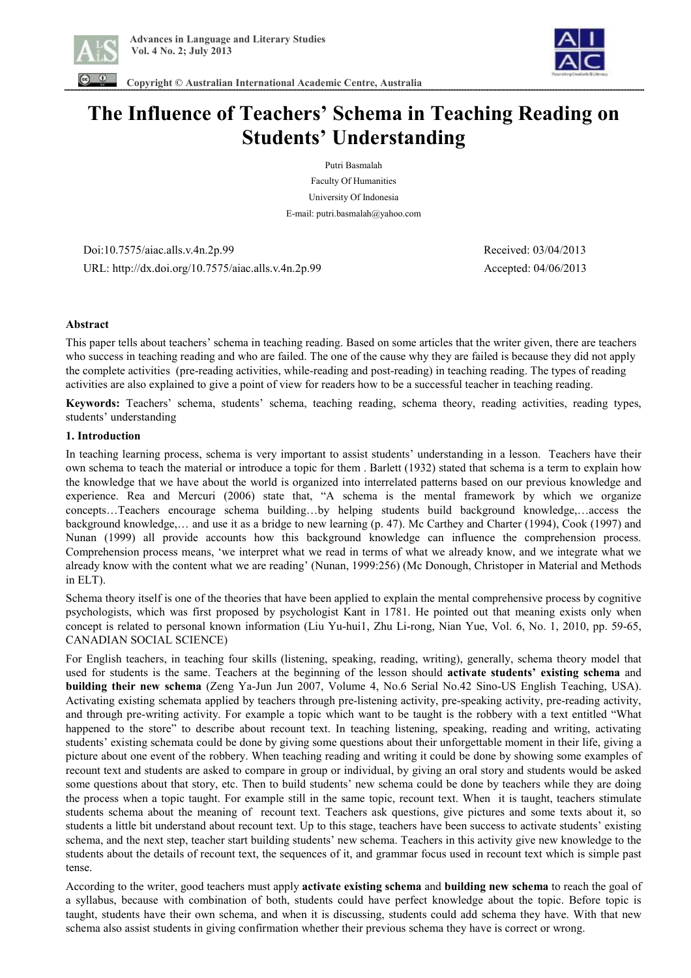



 **Copyright © Australian International Academic Centre, Australia** 

# **The Influence of Teachers' Schema in Teaching Reading on Students' Understanding**

Putri Basmalah

Faculty Of Humanities University Of Indonesia E-mail: putri.basmalah@yahoo.com

 Doi:10.7575/aiac.alls.v.4n.2p.99 Received: 03/04/2013 URL: http://dx.doi.org/10.7575/aiac.alls.v.4n.2p.99 Accepted: 04/06/2013

# **Abstract**

This paper tells about teachers' schema in teaching reading. Based on some articles that the writer given, there are teachers who success in teaching reading and who are failed. The one of the cause why they are failed is because they did not apply the complete activities (pre-reading activities, while-reading and post-reading) in teaching reading. The types of reading activities are also explained to give a point of view for readers how to be a successful teacher in teaching reading.

**Keywords:** Teachers' schema, students' schema, teaching reading, schema theory, reading activities, reading types, students' understanding

# **1. Introduction**

In teaching learning process, schema is very important to assist students' understanding in a lesson. Teachers have their own schema to teach the material or introduce a topic for them . Barlett (1932) stated that schema is a term to explain how the knowledge that we have about the world is organized into interrelated patterns based on our previous knowledge and experience. Rea and Mercuri (2006) state that, "A schema is the mental framework by which we organize concepts…Teachers encourage schema building…by helping students build background knowledge,…access the background knowledge,… and use it as a bridge to new learning (p. 47). Mc Carthey and Charter (1994), Cook (1997) and Nunan (1999) all provide accounts how this background knowledge can influence the comprehension process. Comprehension process means, 'we interpret what we read in terms of what we already know, and we integrate what we already know with the content what we are reading' (Nunan, 1999:256) (Mc Donough, Christoper in Material and Methods in ELT).

Schema theory itself is one of the theories that have been applied to explain the mental comprehensive process by cognitive psychologists, which was first proposed by psychologist Kant in 1781. He pointed out that meaning exists only when concept is related to personal known information (Liu Yu-hui1, Zhu Li-rong, Nian Yue, Vol. 6, No. 1, 2010, pp. 59-65, CANADIAN SOCIAL SCIENCE)

For English teachers, in teaching four skills (listening, speaking, reading, writing), generally, schema theory model that used for students is the same. Teachers at the beginning of the lesson should **activate students' existing schema** and **building their new schema** (Zeng Ya-Jun Jun 2007, Volume 4, No.6 Serial No.42 Sino-US English Teaching, USA). Activating existing schemata applied by teachers through pre-listening activity, pre-speaking activity, pre-reading activity, and through pre-writing activity. For example a topic which want to be taught is the robbery with a text entitled "What happened to the store" to describe about recount text. In teaching listening, speaking, reading and writing, activating students' existing schemata could be done by giving some questions about their unforgettable moment in their life, giving a picture about one event of the robbery. When teaching reading and writing it could be done by showing some examples of recount text and students are asked to compare in group or individual, by giving an oral story and students would be asked some questions about that story, etc. Then to build students' new schema could be done by teachers while they are doing the process when a topic taught. For example still in the same topic, recount text. When it is taught, teachers stimulate students schema about the meaning of recount text. Teachers ask questions, give pictures and some texts about it, so students a little bit understand about recount text. Up to this stage, teachers have been success to activate students' existing schema, and the next step, teacher start building students' new schema. Teachers in this activity give new knowledge to the students about the details of recount text, the sequences of it, and grammar focus used in recount text which is simple past tense.

According to the writer, good teachers must apply **activate existing schema** and **building new schema** to reach the goal of a syllabus, because with combination of both, students could have perfect knowledge about the topic. Before topic is taught, students have their own schema, and when it is discussing, students could add schema they have. With that new schema also assist students in giving confirmation whether their previous schema they have is correct or wrong.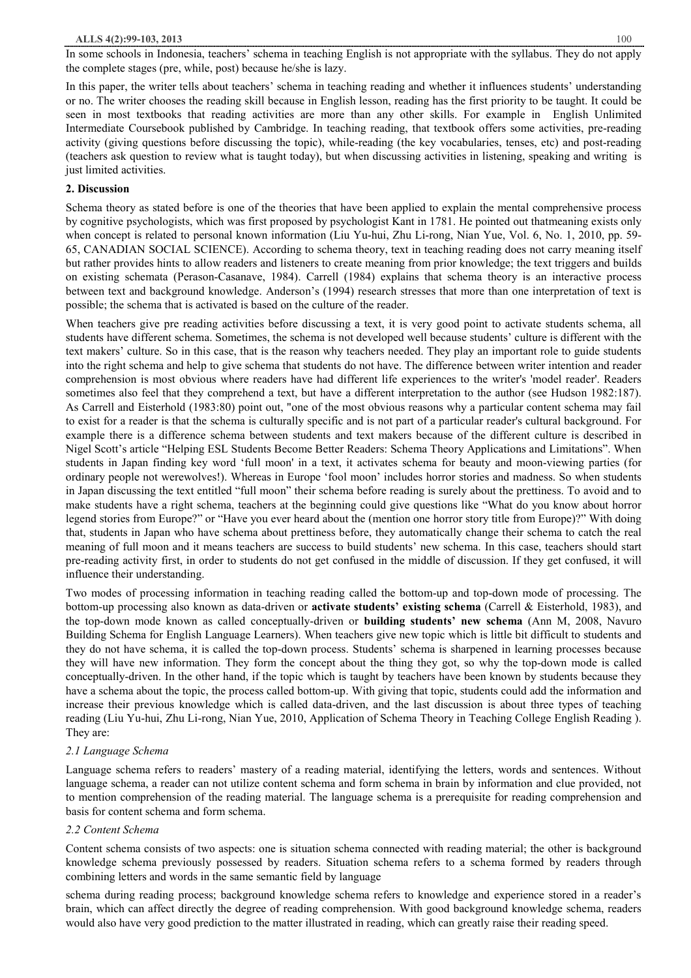In some schools in Indonesia, teachers' schema in teaching English is not appropriate with the syllabus. They do not apply the complete stages (pre, while, post) because he/she is lazy.

In this paper, the writer tells about teachers' schema in teaching reading and whether it influences students' understanding or no. The writer chooses the reading skill because in English lesson, reading has the first priority to be taught. It could be seen in most textbooks that reading activities are more than any other skills. For example in English Unlimited Intermediate Coursebook published by Cambridge. In teaching reading, that textbook offers some activities, pre-reading activity (giving questions before discussing the topic), while-reading (the key vocabularies, tenses, etc) and post-reading (teachers ask question to review what is taught today), but when discussing activities in listening, speaking and writing is just limited activities.

# **2. Discussion**

Schema theory as stated before is one of the theories that have been applied to explain the mental comprehensive process by cognitive psychologists, which was first proposed by psychologist Kant in 1781. He pointed out thatmeaning exists only when concept is related to personal known information (Liu Yu-hui, Zhu Li-rong, Nian Yue, Vol. 6, No. 1, 2010, pp. 59- 65, CANADIAN SOCIAL SCIENCE). According to schema theory, text in teaching reading does not carry meaning itself but rather provides hints to allow readers and listeners to create meaning from prior knowledge; the text triggers and builds on existing schemata (Perason-Casanave, 1984). Carrell (1984) explains that schema theory is an interactive process between text and background knowledge. Anderson's (1994) research stresses that more than one interpretation of text is possible; the schema that is activated is based on the culture of the reader.

When teachers give pre reading activities before discussing a text, it is very good point to activate students schema, all students have different schema. Sometimes, the schema is not developed well because students' culture is different with the text makers' culture. So in this case, that is the reason why teachers needed. They play an important role to guide students into the right schema and help to give schema that students do not have. The difference between writer intention and reader comprehension is most obvious where readers have had different life experiences to the writer's 'model reader'. Readers sometimes also feel that they comprehend a text, but have a different interpretation to the author (see Hudson 1982:187). As Carrell and Eisterhold (1983:80) point out, "one of the most obvious reasons why a particular content schema may fail to exist for a reader is that the schema is culturally specific and is not part of a particular reader's cultural background. For example there is a difference schema between students and text makers because of the different culture is described in Nigel Scott's article "Helping ESL Students Become Better Readers: Schema Theory Applications and Limitations". When students in Japan finding key word 'full moon' in a text, it activates schema for beauty and moon-viewing parties (for ordinary people not werewolves!). Whereas in Europe 'fool moon' includes horror stories and madness. So when students in Japan discussing the text entitled "full moon" their schema before reading is surely about the prettiness. To avoid and to make students have a right schema, teachers at the beginning could give questions like "What do you know about horror legend stories from Europe?" or "Have you ever heard about the (mention one horror story title from Europe)?" With doing that, students in Japan who have schema about prettiness before, they automatically change their schema to catch the real meaning of full moon and it means teachers are success to build students' new schema. In this case, teachers should start pre-reading activity first, in order to students do not get confused in the middle of discussion. If they get confused, it will influence their understanding.

Two modes of processing information in teaching reading called the bottom-up and top-down mode of processing. The bottom-up processing also known as data-driven or **activate students' existing schema** (Carrell & Eisterhold, 1983), and the top-down mode known as called conceptually-driven or **building students' new schema** (Ann M, 2008, Navuro Building Schema for English Language Learners). When teachers give new topic which is little bit difficult to students and they do not have schema, it is called the top-down process. Students' schema is sharpened in learning processes because they will have new information. They form the concept about the thing they got, so why the top-down mode is called conceptually-driven. In the other hand, if the topic which is taught by teachers have been known by students because they have a schema about the topic, the process called bottom-up. With giving that topic, students could add the information and increase their previous knowledge which is called data-driven, and the last discussion is about three types of teaching reading (Liu Yu-hui, Zhu Li-rong, Nian Yue, 2010, Application of Schema Theory in Teaching College English Reading ). They are:

# *2.1 Language Schema*

Language schema refers to readers' mastery of a reading material, identifying the letters, words and sentences. Without language schema, a reader can not utilize content schema and form schema in brain by information and clue provided, not to mention comprehension of the reading material. The language schema is a prerequisite for reading comprehension and basis for content schema and form schema.

# *2.2 Content Schema*

Content schema consists of two aspects: one is situation schema connected with reading material; the other is background knowledge schema previously possessed by readers. Situation schema refers to a schema formed by readers through combining letters and words in the same semantic field by language

schema during reading process; background knowledge schema refers to knowledge and experience stored in a reader's brain, which can affect directly the degree of reading comprehension. With good background knowledge schema, readers would also have very good prediction to the matter illustrated in reading, which can greatly raise their reading speed.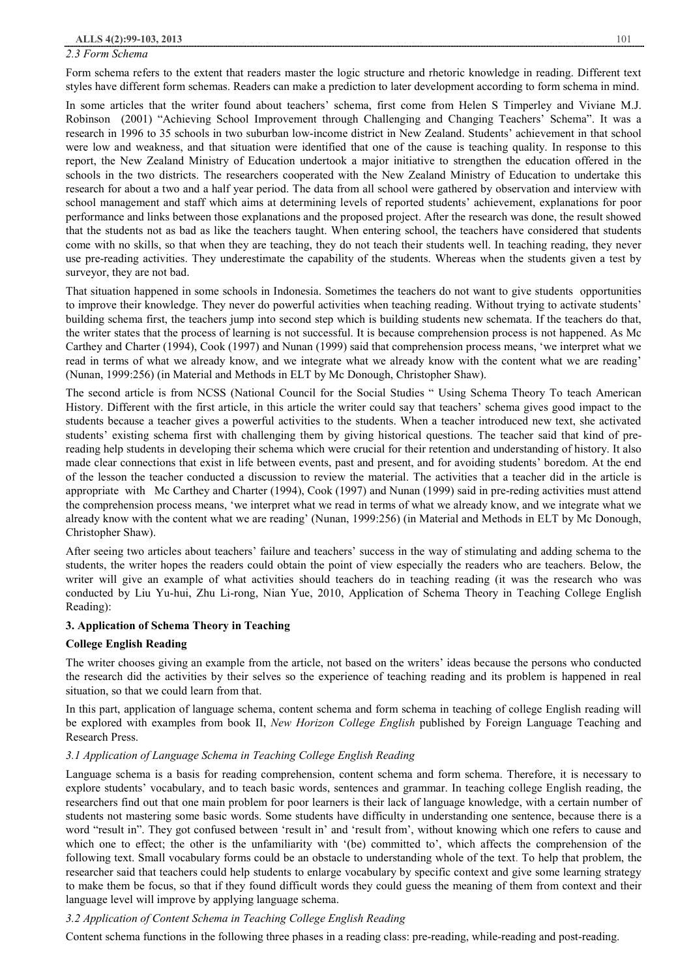#### *2.3 Form Schema*

Form schema refers to the extent that readers master the logic structure and rhetoric knowledge in reading. Different text styles have different form schemas. Readers can make a prediction to later development according to form schema in mind.

In some articles that the writer found about teachers' schema, first come from Helen S Timperley and Viviane M.J. Robinson (2001) "Achieving School Improvement through Challenging and Changing Teachers' Schema". It was a research in 1996 to 35 schools in two suburban low-income district in New Zealand. Students' achievement in that school were low and weakness, and that situation were identified that one of the cause is teaching quality. In response to this report, the New Zealand Ministry of Education undertook a major initiative to strengthen the education offered in the schools in the two districts. The researchers cooperated with the New Zealand Ministry of Education to undertake this research for about a two and a half year period. The data from all school were gathered by observation and interview with school management and staff which aims at determining levels of reported students' achievement, explanations for poor performance and links between those explanations and the proposed project. After the research was done, the result showed that the students not as bad as like the teachers taught. When entering school, the teachers have considered that students come with no skills, so that when they are teaching, they do not teach their students well. In teaching reading, they never use pre-reading activities. They underestimate the capability of the students. Whereas when the students given a test by surveyor, they are not bad.

That situation happened in some schools in Indonesia. Sometimes the teachers do not want to give students opportunities to improve their knowledge. They never do powerful activities when teaching reading. Without trying to activate students' building schema first, the teachers jump into second step which is building students new schemata. If the teachers do that, the writer states that the process of learning is not successful. It is because comprehension process is not happened. As Mc Carthey and Charter (1994), Cook (1997) and Nunan (1999) said that comprehension process means, 'we interpret what we read in terms of what we already know, and we integrate what we already know with the content what we are reading' (Nunan, 1999:256) (in Material and Methods in ELT by Mc Donough, Christopher Shaw).

The second article is from NCSS (National Council for the Social Studies " Using Schema Theory To teach American History. Different with the first article, in this article the writer could say that teachers' schema gives good impact to the students because a teacher gives a powerful activities to the students. When a teacher introduced new text, she activated students' existing schema first with challenging them by giving historical questions. The teacher said that kind of prereading help students in developing their schema which were crucial for their retention and understanding of history. It also made clear connections that exist in life between events, past and present, and for avoiding students' boredom. At the end of the lesson the teacher conducted a discussion to review the material. The activities that a teacher did in the article is appropriate with Mc Carthey and Charter (1994), Cook (1997) and Nunan (1999) said in pre-reding activities must attend the comprehension process means, 'we interpret what we read in terms of what we already know, and we integrate what we already know with the content what we are reading' (Nunan, 1999:256) (in Material and Methods in ELT by Mc Donough, Christopher Shaw).

After seeing two articles about teachers' failure and teachers' success in the way of stimulating and adding schema to the students, the writer hopes the readers could obtain the point of view especially the readers who are teachers. Below, the writer will give an example of what activities should teachers do in teaching reading (it was the research who was conducted by Liu Yu-hui, Zhu Li-rong, Nian Yue, 2010, Application of Schema Theory in Teaching College English Reading):

## **3. Application of Schema Theory in Teaching**

## **College English Reading**

The writer chooses giving an example from the article, not based on the writers' ideas because the persons who conducted the research did the activities by their selves so the experience of teaching reading and its problem is happened in real situation, so that we could learn from that.

In this part, application of language schema, content schema and form schema in teaching of college English reading will be explored with examples from book II, *New Horizon College English* published by Foreign Language Teaching and Research Press.

# *3.1 Application of Language Schema in Teaching College English Reading*

Language schema is a basis for reading comprehension, content schema and form schema. Therefore, it is necessary to explore students' vocabulary, and to teach basic words, sentences and grammar. In teaching college English reading, the researchers find out that one main problem for poor learners is their lack of language knowledge, with a certain number of students not mastering some basic words. Some students have difficulty in understanding one sentence, because there is a word "result in". They got confused between 'result in' and 'result from', without knowing which one refers to cause and which one to effect; the other is the unfamiliarity with '(be) committed to', which affects the comprehension of the following text. Small vocabulary forms could be an obstacle to understanding whole of the text. To help that problem, the researcher said that teachers could help students to enlarge vocabulary by specific context and give some learning strategy to make them be focus, so that if they found difficult words they could guess the meaning of them from context and their language level will improve by applying language schema.

# *3.2 Application of Content Schema in Teaching College English Reading*

Content schema functions in the following three phases in a reading class: pre-reading, while-reading and post-reading.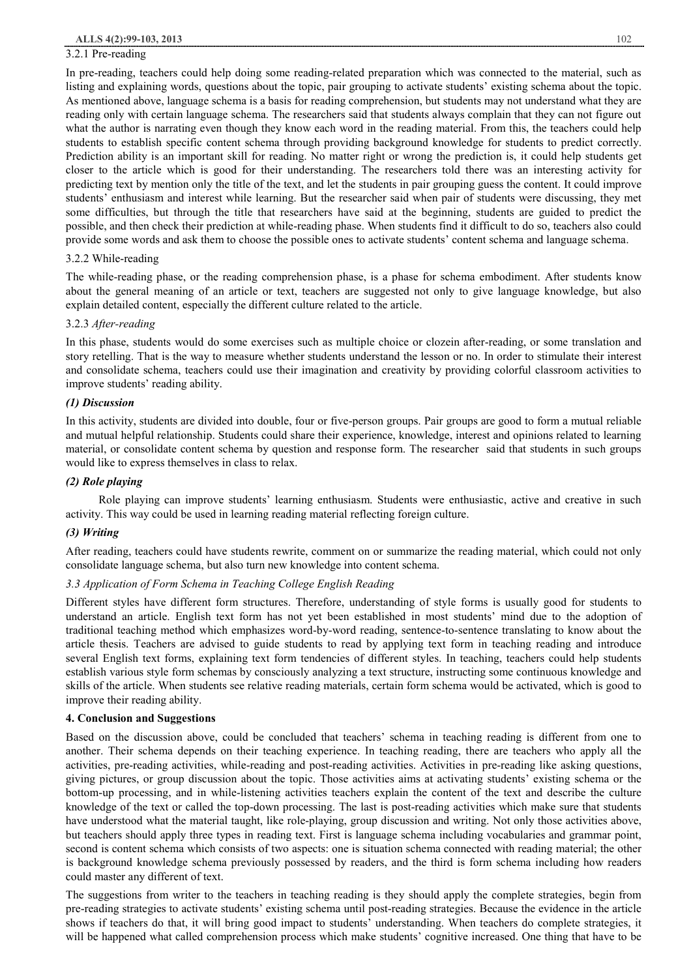#### 3.2.1 Pre-reading

In pre-reading, teachers could help doing some reading-related preparation which was connected to the material, such as listing and explaining words, questions about the topic, pair grouping to activate students' existing schema about the topic. As mentioned above, language schema is a basis for reading comprehension, but students may not understand what they are reading only with certain language schema. The researchers said that students always complain that they can not figure out what the author is narrating even though they know each word in the reading material. From this, the teachers could help students to establish specific content schema through providing background knowledge for students to predict correctly. Prediction ability is an important skill for reading. No matter right or wrong the prediction is, it could help students get closer to the article which is good for their understanding. The researchers told there was an interesting activity for predicting text by mention only the title of the text, and let the students in pair grouping guess the content. It could improve students' enthusiasm and interest while learning. But the researcher said when pair of students were discussing, they met some difficulties, but through the title that researchers have said at the beginning, students are guided to predict the possible, and then check their prediction at while-reading phase. When students find it difficult to do so, teachers also could provide some words and ask them to choose the possible ones to activate students' content schema and language schema.

## 3.2.2 While-reading

The while-reading phase, or the reading comprehension phase, is a phase for schema embodiment. After students know about the general meaning of an article or text, teachers are suggested not only to give language knowledge, but also explain detailed content, especially the different culture related to the article.

#### 3.2.3 *After-reading*

In this phase, students would do some exercises such as multiple choice or clozein after-reading, or some translation and story retelling. That is the way to measure whether students understand the lesson or no. In order to stimulate their interest and consolidate schema, teachers could use their imagination and creativity by providing colorful classroom activities to improve students' reading ability.

#### *(1) Discussion*

In this activity, students are divided into double, four or five-person groups. Pair groups are good to form a mutual reliable and mutual helpful relationship. Students could share their experience, knowledge, interest and opinions related to learning material, or consolidate content schema by question and response form. The researcher said that students in such groups would like to express themselves in class to relax.

#### *(2) Role playing*

Role playing can improve students' learning enthusiasm. Students were enthusiastic, active and creative in such activity. This way could be used in learning reading material reflecting foreign culture.

## *(3) Writing*

After reading, teachers could have students rewrite, comment on or summarize the reading material, which could not only consolidate language schema, but also turn new knowledge into content schema.

## *3.3 Application of Form Schema in Teaching College English Reading*

Different styles have different form structures. Therefore, understanding of style forms is usually good for students to understand an article. English text form has not yet been established in most students' mind due to the adoption of traditional teaching method which emphasizes word-by-word reading, sentence-to-sentence translating to know about the article thesis. Teachers are advised to guide students to read by applying text form in teaching reading and introduce several English text forms, explaining text form tendencies of different styles. In teaching, teachers could help students establish various style form schemas by consciously analyzing a text structure, instructing some continuous knowledge and skills of the article. When students see relative reading materials, certain form schema would be activated, which is good to improve their reading ability.

## **4. Conclusion and Suggestions**

Based on the discussion above, could be concluded that teachers' schema in teaching reading is different from one to another. Their schema depends on their teaching experience. In teaching reading, there are teachers who apply all the activities, pre-reading activities, while-reading and post-reading activities. Activities in pre-reading like asking questions, giving pictures, or group discussion about the topic. Those activities aims at activating students' existing schema or the bottom-up processing, and in while-listening activities teachers explain the content of the text and describe the culture knowledge of the text or called the top-down processing. The last is post-reading activities which make sure that students have understood what the material taught, like role-playing, group discussion and writing. Not only those activities above, but teachers should apply three types in reading text. First is language schema including vocabularies and grammar point, second is content schema which consists of two aspects: one is situation schema connected with reading material; the other is background knowledge schema previously possessed by readers, and the third is form schema including how readers could master any different of text.

The suggestions from writer to the teachers in teaching reading is they should apply the complete strategies, begin from pre-reading strategies to activate students' existing schema until post-reading strategies. Because the evidence in the article shows if teachers do that, it will bring good impact to students' understanding. When teachers do complete strategies, it will be happened what called comprehension process which make students' cognitive increased. One thing that have to be